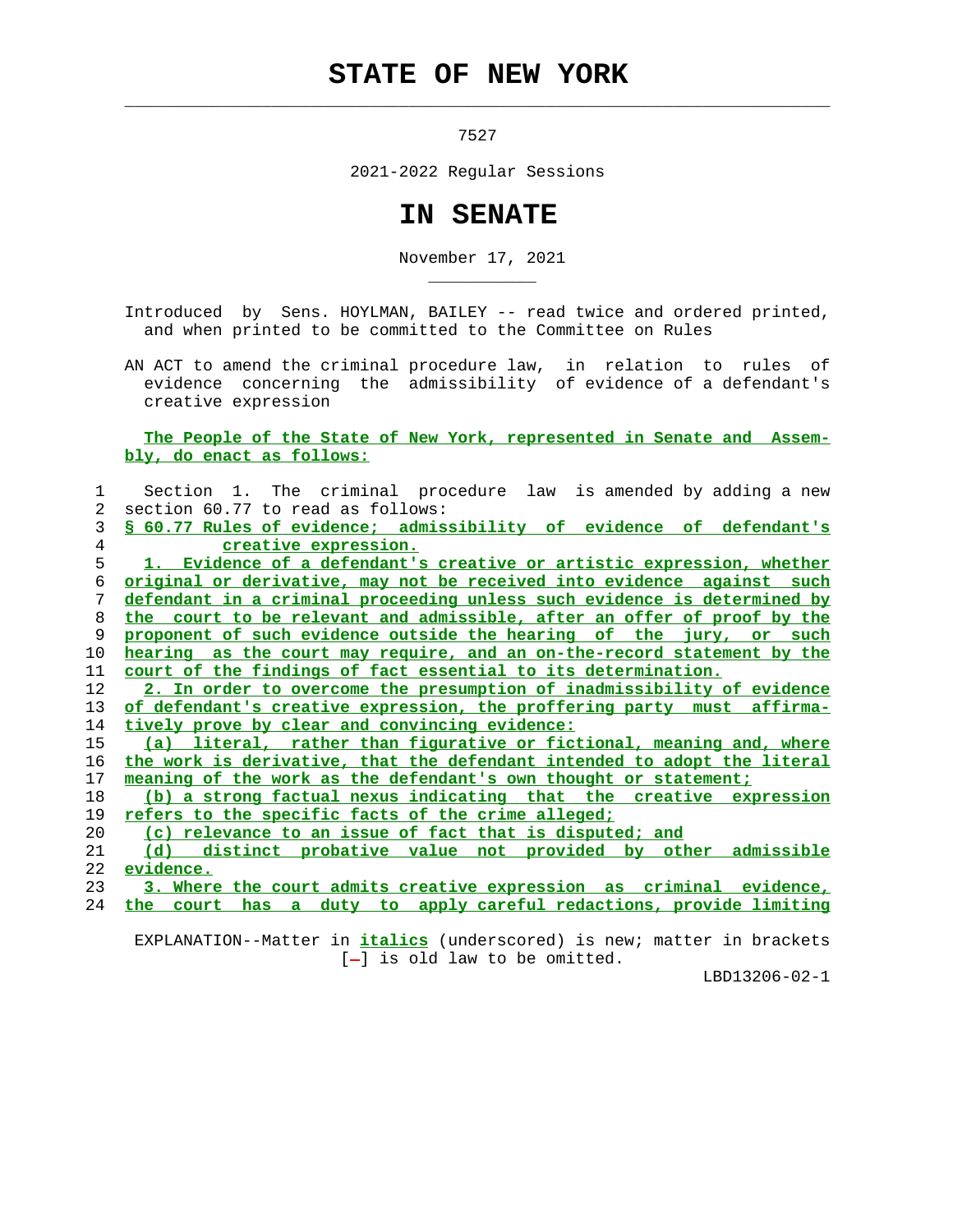## **STATE OF NEW YORK**

 $\mathcal{L}_\text{max} = \frac{1}{2} \sum_{i=1}^{n} \frac{1}{2} \sum_{i=1}^{n} \frac{1}{2} \sum_{i=1}^{n} \frac{1}{2} \sum_{i=1}^{n} \frac{1}{2} \sum_{i=1}^{n} \frac{1}{2} \sum_{i=1}^{n} \frac{1}{2} \sum_{i=1}^{n} \frac{1}{2} \sum_{i=1}^{n} \frac{1}{2} \sum_{i=1}^{n} \frac{1}{2} \sum_{i=1}^{n} \frac{1}{2} \sum_{i=1}^{n} \frac{1}{2} \sum_{i=1}^{n} \frac{1$ 

\_\_\_\_\_\_\_\_\_\_\_

7527

2021-2022 Regular Sessions

## **IN SENATE**

November 17, 2021

 Introduced by Sens. HOYLMAN, BAILEY -- read twice and ordered printed, and when printed to be committed to the Committee on Rules

 AN ACT to amend the criminal procedure law, in relation to rules of evidence concerning the admissibility of evidence of a defendant's creative expression

 **The People of the State of New York, represented in Senate and Assem bly, do enact as follows:**

| $\mathbf{1}$    | Section 1. The criminal procedure law is amended by adding a new         |
|-----------------|--------------------------------------------------------------------------|
| 2               | section 60.77 to read as follows:                                        |
| 3               | § 60.77 Rules of evidence; admissibility of evidence of defendant's      |
| 4               | creative expression.                                                     |
| 5               | 1. Evidence of a defendant's creative or artistic expression, whether    |
| 6               | original or derivative, may not be received into evidence against such   |
| 7               | defendant in a criminal proceeding unless such evidence is determined by |
| 8               | the court to be relevant and admissible, after an offer of proof by the  |
| 9               | proponent of such evidence outside the hearing of the jury, or such      |
| 10              | hearing as the court may require, and an on-the-record statement by the  |
| 11              | court of the findings of fact essential to its determination.            |
| 12 <sup>°</sup> | 2. In order to overcome the presumption of inadmissibility of evidence   |
| 13              | of defendant's creative expression, the proffering party must affirma-   |
| 14              | tively prove by clear and convincing evidence:                           |
| 15              | (a) literal, rather than figurative or fictional, meaning and, where     |
| 16              | the work is derivative, that the defendant intended to adopt the literal |
| 17              | meaning of the work as the defendant's own thought or statement;         |
| 18              | (b) a strong factual nexus indicating that the creative expression       |
| 19              | refers to the specific facts of the crime alleged;                       |
| 20              | (c) relevance to an issue of fact that is disputed; and                  |
| 21              | (d) distinct probative value not provided by other admissible            |
| 22              | evidence.                                                                |
| 23              | 3. Where the court admits creative expression as criminal evidence,      |
| 24              | the court has a duty to apply careful redactions, provide limiting       |
|                 |                                                                          |

 EXPLANATION--Matter in **italics** (underscored) is new; matter in brackets [-] is old law to be omitted.

LBD13206-02-1